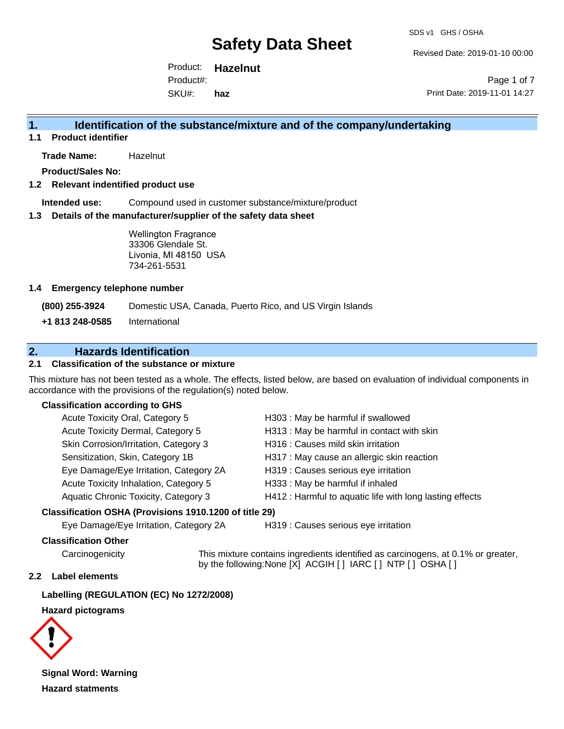Revised Date: 2019-01-10 00:00

Product: **Hazelnut** SKU#: Product#: **haz**

Page 1 of 7 Print Date: 2019-11-01 14:27

## **1. Identification of the substance/mixture and of the company/undertaking**

**1.1 Product identifier**

**Trade Name:** Hazelnut

**Product/Sales No:**

#### **1.2 Relevant indentified product use**

**Intended use:** Compound used in customer substance/mixture/product

#### **1.3 Details of the manufacturer/supplier of the safety data sheet**

Wellington Fragrance 33306 Glendale St. Livonia, MI 48150 USA 734-261-5531

#### **1.4 Emergency telephone number**

**(800) 255-3924** Domestic USA, Canada, Puerto Rico, and US Virgin Islands

**+1 813 248-0585** International

# **2. Hazards Identification**

## **2.1 Classification of the substance or mixture**

This mixture has not been tested as a whole. The effects, listed below, are based on evaluation of individual components in accordance with the provisions of the regulation(s) noted below.

### **Classification according to GHS**

| Acute Toxicity Oral, Category 5        | H303: May be harmful if swallowed                        |
|----------------------------------------|----------------------------------------------------------|
| Acute Toxicity Dermal, Category 5      | H313 : May be harmful in contact with skin               |
| Skin Corrosion/Irritation, Category 3  | H316 : Causes mild skin irritation                       |
| Sensitization, Skin, Category 1B       | H317 : May cause an allergic skin reaction               |
| Eye Damage/Eye Irritation, Category 2A | H319 : Causes serious eye irritation                     |
| Acute Toxicity Inhalation, Category 5  | H333: May be harmful if inhaled                          |
| Aquatic Chronic Toxicity, Category 3   | H412 : Harmful to aquatic life with long lasting effects |
|                                        |                                                          |

#### **Classification OSHA (Provisions 1910.1200 of title 29)**

Eye Damage/Eye Irritation, Category 2A H319 : Causes serious eye irritation

#### **Classification Other**

Carcinogenicity This mixture contains ingredients identified as carcinogens, at 0.1% or greater, by the following:None [X] ACGIH [ ] IARC [ ] NTP [ ] OSHA [ ]

#### **2.2 Label elements**

**Labelling (REGULATION (EC) No 1272/2008)**

**Hazard pictograms**



**Signal Word: Warning Hazard statments**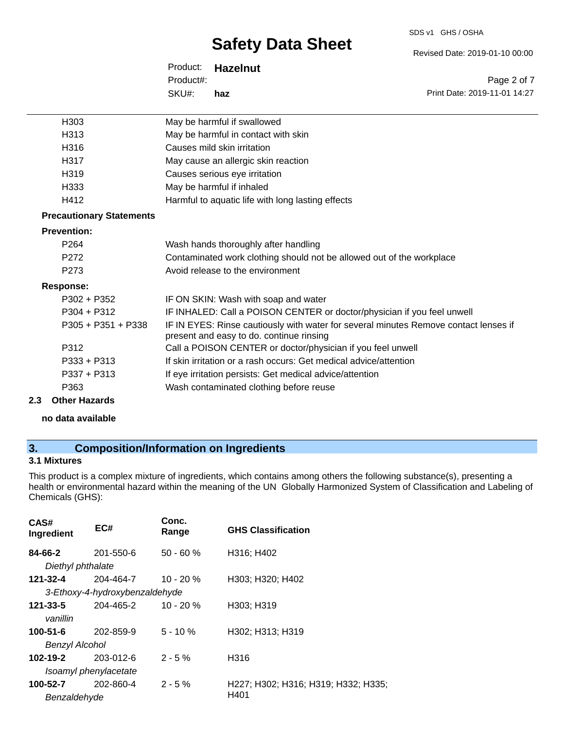#### SDS v1 GHS / OSHA

# **Safety Data Sheet**

Product: **Hazelnut** SKU#: Product#: **haz**

Revised Date: 2019-01-10 00:00

Page 2 of 7 Print Date: 2019-11-01 14:27

| H303                            | May be harmful if swallowed                                                                                                      |
|---------------------------------|----------------------------------------------------------------------------------------------------------------------------------|
| H313                            | May be harmful in contact with skin                                                                                              |
| H316                            | Causes mild skin irritation                                                                                                      |
| H317                            | May cause an allergic skin reaction                                                                                              |
| H319                            | Causes serious eye irritation                                                                                                    |
| H333                            | May be harmful if inhaled                                                                                                        |
| H412                            | Harmful to aquatic life with long lasting effects                                                                                |
| <b>Precautionary Statements</b> |                                                                                                                                  |
| <b>Prevention:</b>              |                                                                                                                                  |
| P <sub>264</sub>                | Wash hands thoroughly after handling                                                                                             |
| P <sub>272</sub>                | Contaminated work clothing should not be allowed out of the workplace                                                            |
| P <sub>273</sub>                | Avoid release to the environment                                                                                                 |
| <b>Response:</b>                |                                                                                                                                  |
| $P302 + P352$                   | IF ON SKIN: Wash with soap and water                                                                                             |
| $P304 + P312$                   | IF INHALED: Call a POISON CENTER or doctor/physician if you feel unwell                                                          |
| $P305 + P351 + P338$            | IF IN EYES: Rinse cautiously with water for several minutes Remove contact lenses if<br>present and easy to do. continue rinsing |
| P312                            | Call a POISON CENTER or doctor/physician if you feel unwell                                                                      |
| $P333 + P313$                   | If skin irritation or a rash occurs: Get medical advice/attention                                                                |
| $P337 + P313$                   | If eye irritation persists: Get medical advice/attention                                                                         |
| P363                            | Wash contaminated clothing before reuse                                                                                          |
| 2.3<br><b>Other Hazards</b>     |                                                                                                                                  |

#### **no data available**

# **3. Composition/Information on Ingredients**

## **3.1 Mixtures**

This product is a complex mixture of ingredients, which contains among others the following substance(s), presenting a health or environmental hazard within the meaning of the UN Globally Harmonized System of Classification and Labeling of Chemicals (GHS):

| CAS#<br>Ingredient | EC#                            | Conc.<br>Range | <b>GHS Classification</b>           |
|--------------------|--------------------------------|----------------|-------------------------------------|
| 84-66-2            | 201-550-6                      | $50 - 60 \%$   | H316; H402                          |
| Diethyl phthalate  |                                |                |                                     |
| 121-32-4           | 204-464-7                      | $10 - 20 \%$   | H303; H320; H402                    |
|                    | 3-Ethoxy-4-hydroxybenzaldehyde |                |                                     |
| 121-33-5           | 204-465-2                      | $10 - 20 \%$   | H303; H319                          |
| vanillin           |                                |                |                                     |
| $100 - 51 - 6$     | 202-859-9                      | $5 - 10%$      | H302; H313; H319                    |
| Benzyl Alcohol     |                                |                |                                     |
| 102-19-2           | $203 - 012 - 6$                | $2 - 5%$       | H316                                |
|                    | Isoamyl phenylacetate          |                |                                     |
| 100-52-7           | 202-860-4                      | $2 - 5%$       | H227; H302; H316; H319; H332; H335; |
| Benzaldehyde       |                                |                | H401                                |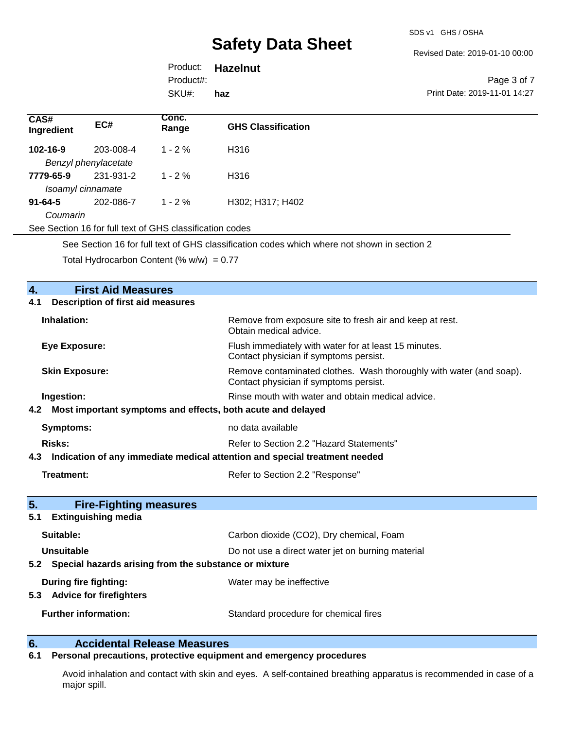Revised Date: 2019-01-10 00:00

|           | Product: <b>Hazelnut</b> |                              |
|-----------|--------------------------|------------------------------|
| Product#: |                          | Page 3 of 7                  |
| SKU#:     | haz                      | Print Date: 2019-11-01 14:27 |
|           |                          |                              |

| CAS#<br>Ingredient | EC#                                                    | Conc.<br>Range | <b>GHS Classification</b> |
|--------------------|--------------------------------------------------------|----------------|---------------------------|
| $102 - 16 - 9$     | 203-008-4                                              | $1 - 2\%$      | H316                      |
|                    | Benzyl phenylacetate                                   |                |                           |
| 7779-65-9          | 231-931-2                                              | $1 - 2\%$      | H316                      |
|                    | Isoamyl cinnamate                                      |                |                           |
| $91 - 64 - 5$      | 202-086-7                                              | $1 - 2 \%$     | H302; H317; H402          |
| Coumarin           |                                                        |                |                           |
|                    | See Section 16 for full tout of CUS elegationion andee |                |                           |

See Section 16 for full text of GHS classification codes

See Section 16 for full text of GHS classification codes which where not shown in section 2

Total Hydrocarbon Content (%  $w/w$ ) = 0.77

| <b>First Aid Measures</b><br>4.                                                |                                                                                                               |
|--------------------------------------------------------------------------------|---------------------------------------------------------------------------------------------------------------|
| <b>Description of first aid measures</b><br>4.1                                |                                                                                                               |
| Inhalation:                                                                    | Remove from exposure site to fresh air and keep at rest.<br>Obtain medical advice.                            |
| <b>Eye Exposure:</b>                                                           | Flush immediately with water for at least 15 minutes.<br>Contact physician if symptoms persist.               |
| <b>Skin Exposure:</b>                                                          | Remove contaminated clothes. Wash thoroughly with water (and soap).<br>Contact physician if symptoms persist. |
| Ingestion:                                                                     | Rinse mouth with water and obtain medical advice.                                                             |
| 4.2 Most important symptoms and effects, both acute and delayed                |                                                                                                               |
| <b>Symptoms:</b>                                                               | no data available                                                                                             |
| <b>Risks:</b>                                                                  | Refer to Section 2.2 "Hazard Statements"                                                                      |
| 4.3 Indication of any immediate medical attention and special treatment needed |                                                                                                               |
| <b>Treatment:</b>                                                              | Refer to Section 2.2 "Response"                                                                               |
| 5.<br><b>Fire-Fighting measures</b><br><b>Extinguishing media</b><br>5.1       |                                                                                                               |
| Suitable:                                                                      | Carbon dioxide (CO2), Dry chemical, Foam                                                                      |
| Unsuitable                                                                     | Do not use a direct water jet on burning material                                                             |
| 5.2 Special hazards arising from the substance or mixture                      |                                                                                                               |
| During fire fighting:<br>5.3 Advice for firefighters                           | Water may be ineffective                                                                                      |
| <b>Further information:</b>                                                    | Standard procedure for chemical fires                                                                         |

# **6. Calcidental Release Measures**<br>**6.1** Personal precautions, protective equipm

## **6.1 Personal precautions, protective equipment and emergency procedures**

Avoid inhalation and contact with skin and eyes. A self-contained breathing apparatus is recommended in case of a major spill.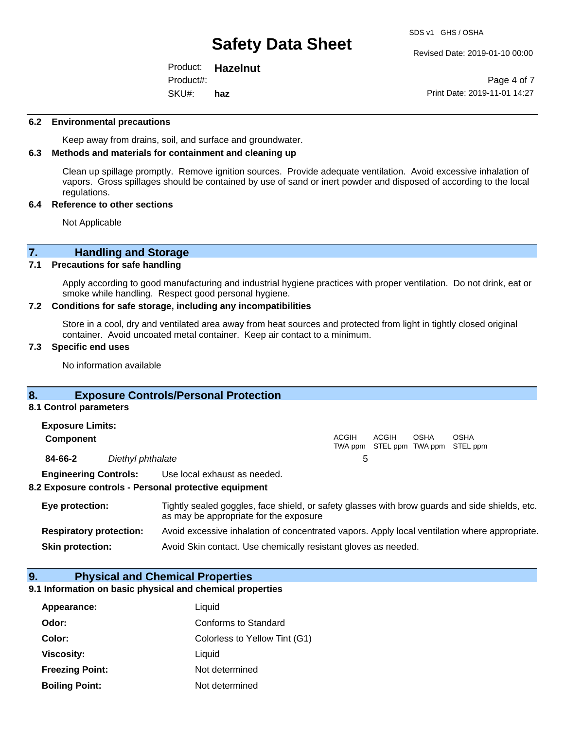Revised Date: 2019-01-10 00:00

Product: **Hazelnut** SKU#: Product#: **haz**

Page 4 of 7 Print Date: 2019-11-01 14:27

#### **6.2 Environmental precautions**

Keep away from drains, soil, and surface and groundwater.

#### **6.3 Methods and materials for containment and cleaning up**

Clean up spillage promptly. Remove ignition sources. Provide adequate ventilation. Avoid excessive inhalation of vapors. Gross spillages should be contained by use of sand or inert powder and disposed of according to the local regulations.

#### **6.4 Reference to other sections**

Not Applicable

# **7. Handling and Storage**

## **7.1 Precautions for safe handling**

Apply according to good manufacturing and industrial hygiene practices with proper ventilation. Do not drink, eat or smoke while handling. Respect good personal hygiene.

#### **7.2 Conditions for safe storage, including any incompatibilities**

Store in a cool, dry and ventilated area away from heat sources and protected from light in tightly closed original container. Avoid uncoated metal container. Keep air contact to a minimum.

#### **7.3 Specific end uses**

No information available

## **8. Exposure Controls/Personal Protection**

#### **8.1 Control parameters**

| <b>Exposure Limits:</b>      |                   |                              |              |       |             |                                           |
|------------------------------|-------------------|------------------------------|--------------|-------|-------------|-------------------------------------------|
| <b>Component</b>             |                   |                              | <b>ACGIH</b> | ACGIH | <b>OSHA</b> | OSHA<br>TWA ppm STEL ppm TWA ppm STEL ppm |
| 84-66-2                      | Diethyl phthalate |                              |              |       |             |                                           |
| <b>Engineering Controls:</b> |                   | Use local exhaust as needed. |              |       |             |                                           |

#### **8.2 Exposure controls - Personal protective equipment**

| Eye protection:                | Tightly sealed goggles, face shield, or safety glasses with brow guards and side shields, etc.<br>as may be appropriate for the exposure |
|--------------------------------|------------------------------------------------------------------------------------------------------------------------------------------|
| <b>Respiratory protection:</b> | Avoid excessive inhalation of concentrated vapors. Apply local ventilation where appropriate.                                            |
| <b>Skin protection:</b>        | Avoid Skin contact. Use chemically resistant gloves as needed.                                                                           |

### **9. Physical and Chemical Properties**

### **9.1 Information on basic physical and chemical properties**

| Appearance:            | Liquid                        |
|------------------------|-------------------------------|
| Odor:                  | Conforms to Standard          |
| Color:                 | Colorless to Yellow Tint (G1) |
| <b>Viscosity:</b>      | Liquid                        |
| <b>Freezing Point:</b> | Not determined                |
| <b>Boiling Point:</b>  | Not determined                |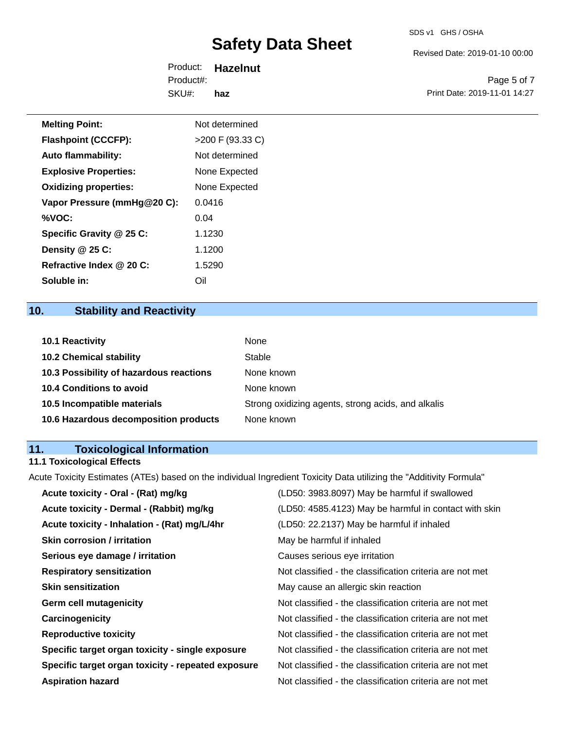Revised Date: 2019-01-10 00:00

Product: **Hazelnut** SKU#: Product#: **haz**

Page 5 of 7 Print Date: 2019-11-01 14:27

| <b>Melting Point:</b>        | Not determined   |
|------------------------------|------------------|
| <b>Flashpoint (CCCFP):</b>   | >200 F (93.33 C) |
| <b>Auto flammability:</b>    | Not determined   |
| <b>Explosive Properties:</b> | None Expected    |
| <b>Oxidizing properties:</b> | None Expected    |
| Vapor Pressure (mmHg@20 C):  | 0.0416           |
| %VOC:                        | 0.04             |
| Specific Gravity @ 25 C:     | 1.1230           |
| Density @ 25 C:              | 1.1200           |
| Refractive Index @ 20 C:     | 1.5290           |

# **10. Stability and Reactivity**

**Soluble in:** Oil

| <b>10.1 Reactivity</b>                  | None                                               |
|-----------------------------------------|----------------------------------------------------|
| <b>10.2 Chemical stability</b>          | Stable                                             |
| 10.3 Possibility of hazardous reactions | None known                                         |
| <b>10.4 Conditions to avoid</b>         | None known                                         |
| 10.5 Incompatible materials             | Strong oxidizing agents, strong acids, and alkalis |
| 10.6 Hazardous decomposition products   | None known                                         |

# **11. Toxicological Information**

# **11.1 Toxicological Effects**

Acute Toxicity Estimates (ATEs) based on the individual Ingredient Toxicity Data utilizing the "Additivity Formula"

| Acute toxicity - Oral - (Rat) mg/kg                | (LD50: 3983.8097) May be harmful if swallowed            |
|----------------------------------------------------|----------------------------------------------------------|
| Acute toxicity - Dermal - (Rabbit) mg/kg           | (LD50: 4585.4123) May be harmful in contact with skin    |
| Acute toxicity - Inhalation - (Rat) mg/L/4hr       | (LD50: 22.2137) May be harmful if inhaled                |
| <b>Skin corrosion / irritation</b>                 | May be harmful if inhaled                                |
| Serious eye damage / irritation                    | Causes serious eye irritation                            |
| <b>Respiratory sensitization</b>                   | Not classified - the classification criteria are not met |
| <b>Skin sensitization</b>                          | May cause an allergic skin reaction                      |
| <b>Germ cell mutagenicity</b>                      | Not classified - the classification criteria are not met |
| Carcinogenicity                                    | Not classified - the classification criteria are not met |
| <b>Reproductive toxicity</b>                       | Not classified - the classification criteria are not met |
| Specific target organ toxicity - single exposure   | Not classified - the classification criteria are not met |
| Specific target organ toxicity - repeated exposure | Not classified - the classification criteria are not met |
| <b>Aspiration hazard</b>                           | Not classified - the classification criteria are not met |
|                                                    |                                                          |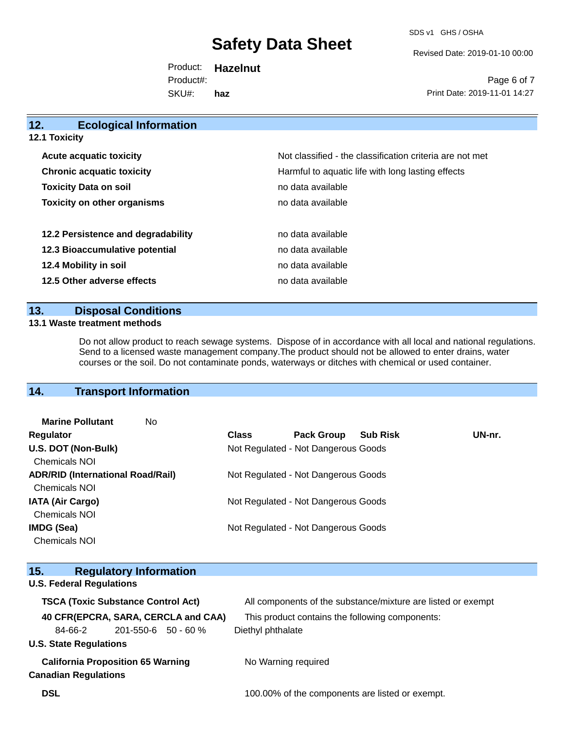SDS v1 GHS / OSHA

Revised Date: 2019-01-10 00:00

Product: **Hazelnut** SKU#: Product#: **haz**

Page 6 of 7 Print Date: 2019-11-01 14:27

| 12.<br><b>Ecological Information</b> |                                                          |
|--------------------------------------|----------------------------------------------------------|
| <b>12.1 Toxicity</b>                 |                                                          |
| <b>Acute acquatic toxicity</b>       | Not classified - the classification criteria are not met |
| <b>Chronic acquatic toxicity</b>     | Harmful to aquatic life with long lasting effects        |
| <b>Toxicity Data on soil</b>         | no data available                                        |
| <b>Toxicity on other organisms</b>   | no data available                                        |
| 12.2 Persistence and degradability   | no data available                                        |
| 12.3 Bioaccumulative potential       | no data available                                        |
| 12.4 Mobility in soil                | no data available                                        |
| 12.5 Other adverse effects           | no data available                                        |
|                                      |                                                          |

## **13. Disposal Conditions**

## **13.1 Waste treatment methods**

Do not allow product to reach sewage systems. Dispose of in accordance with all local and national regulations. Send to a licensed waste management company.The product should not be allowed to enter drains, water courses or the soil. Do not contaminate ponds, waterways or ditches with chemical or used container.

# **14. Transport Information**

| No                                       |              |                   |                 |                                                                                                                                                          |
|------------------------------------------|--------------|-------------------|-----------------|----------------------------------------------------------------------------------------------------------------------------------------------------------|
|                                          | <b>Class</b> | <b>Pack Group</b> | <b>Sub Risk</b> | UN-nr.                                                                                                                                                   |
|                                          |              |                   |                 |                                                                                                                                                          |
|                                          |              |                   |                 |                                                                                                                                                          |
| <b>ADR/RID (International Road/Rail)</b> |              |                   |                 |                                                                                                                                                          |
|                                          |              |                   |                 |                                                                                                                                                          |
|                                          |              |                   |                 |                                                                                                                                                          |
|                                          |              |                   |                 |                                                                                                                                                          |
|                                          |              |                   |                 |                                                                                                                                                          |
|                                          |              |                   |                 |                                                                                                                                                          |
|                                          |              |                   |                 | Not Regulated - Not Dangerous Goods<br>Not Regulated - Not Dangerous Goods<br>Not Regulated - Not Dangerous Goods<br>Not Regulated - Not Dangerous Goods |

| 15.                                       | <b>Regulatory Information</b>       |  |                                                              |
|-------------------------------------------|-------------------------------------|--|--------------------------------------------------------------|
|                                           | <b>U.S. Federal Regulations</b>     |  |                                                              |
| <b>TSCA (Toxic Substance Control Act)</b> |                                     |  | All components of the substance/mixture are listed or exempt |
|                                           | 40 CFR(EPCRA, SARA, CERCLA and CAA) |  | This product contains the following components:              |
| 84-66-2                                   | $201 - 550 - 6$ 50 - 60 %           |  | Diethyl phthalate                                            |
| <b>U.S. State Regulations</b>             |                                     |  |                                                              |
| <b>California Proposition 65 Warning</b>  |                                     |  | No Warning required                                          |
| <b>Canadian Regulations</b>               |                                     |  |                                                              |
| <b>DSL</b>                                |                                     |  | 100.00% of the components are listed or exempt.              |